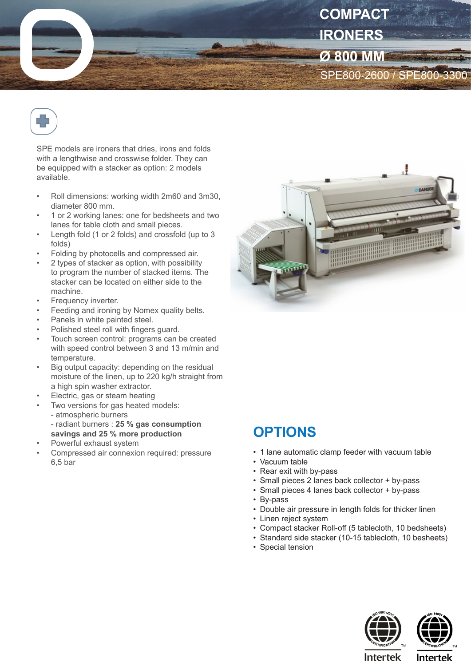



SPE models are ironers that dries, irons and folds with a lengthwise and crosswise folder. They can be equipped with a stacker as option: 2 models available.

- Roll dimensions: working width 2m60 and 3m30, diameter 800 mm.
- 1 or 2 working lanes: one for bedsheets and two lanes for table cloth and small pieces.
- Length fold (1 or 2 folds) and crossfold (up to 3 folds)
- Folding by photocells and compressed air.
- 2 types of stacker as option, with possibility to program the number of stacked items. The stacker can be located on either side to the machine.
- Frequency inverter.
- Feeding and ironing by Nomex quality belts.
- Panels in white painted steel.
- Polished steel roll with fingers guard.
- Touch screen control: programs can be created with speed control between 3 and 13 m/min and temperature.
- Big output capacity: depending on the residual moisture of the linen, up to 220 kg/h straight from a high spin washer extractor.
- Electric, gas or steam heating
- Two versions for gas heated models:
	- atmospheric burners
	- radiant burners : **25 % gas consumption savings and 25 % more production**
- Powerful exhaust system
- Compressed air connexion required: pressure 6,5 bar



## **OPTIONS**

- 1 lane automatic clamp feeder with vacuum table
- Vacuum table
- Rear exit with by-pass
- Small pieces 2 lanes back collector + by-pass
- Small pieces 4 lanes back collector + by-pass
- By-pass
- Double air pressure in length folds for thicker linen
- Linen reject system
- Compact stacker Roll-off (5 tablecloth, 10 bedsheets)
- Standard side stacker (10-15 tablecloth, 10 besheets)
- Special tension





**Intertek** 

**Intertek**